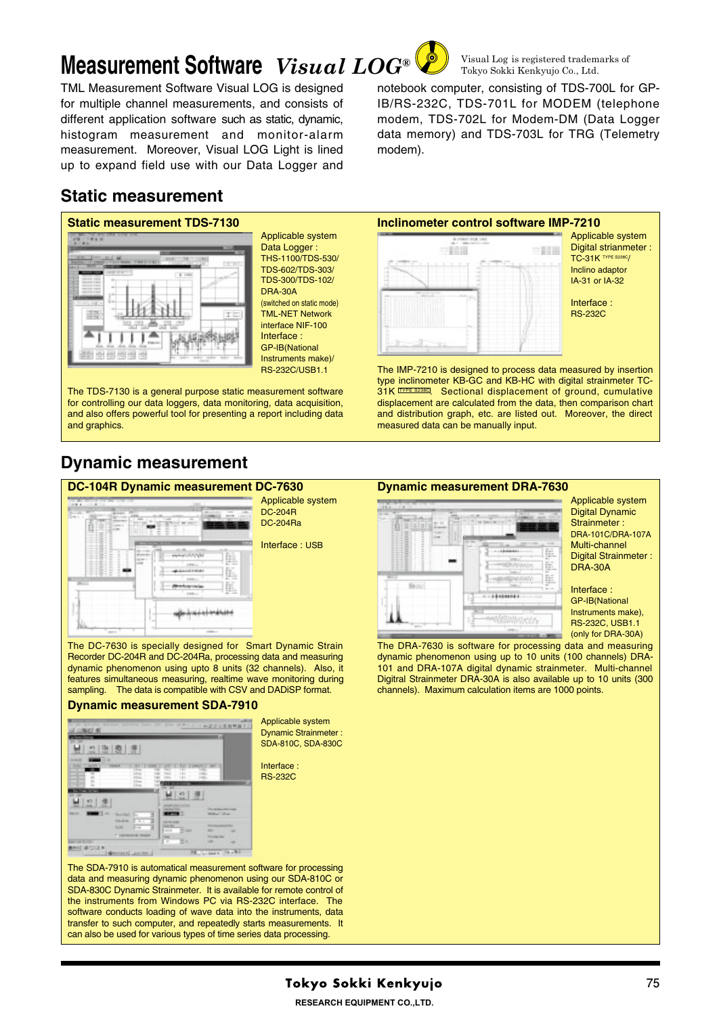# **Measurement Software** *Visual LOG®*

TML Measurement Software Visual LOG is designed for multiple channel measurements, and consists of different application software such as static, dynamic, histogram measurement and monitor-alarm measurement. Moreover, Visual LOG Light is lined up to expand field use with our Data Logger and

# **Static measurement**



Applicable system Data Logger THS-1100/TDS-530/ TDS-602/TDS-303/ TDS-300/TDS-102/ DRA-30A (switched on static mode) TML-NET Network interface NIF-100 Interface : GP-IB(National Instruments make)/ RS-232C/USB1.1

The TDS-7130 is a general purpose static measurement software for controlling our data loggers, data monitoring, data acquisition, and also offers powerful tool for presenting a report including data and graphics.

# **Dynamic measurement**



The DC-7630 is specially designed for Smart Dynamic Strain Recorder DC-204R and DC-204Ra, processing data and measuring dynamic phenomenon using upto 8 units (32 channels). Also, it features simultaneous measuring, realtime wave monitoring during sampling. The data is compatible with CSV and DADiSP format.

#### **Dynamic measurement SDA-7910**



Applicable system Dynamic Strainmeter : SDA-810C, SDA-830C

Interface : RS-232C



The IMP-7210 is designed to process data measured by insertion type inclinometer KB-GC and KB-HC with digital strainmeter TC-31K TYPE S238C. Sectional displacement of ground, cumulative displacement are calculated from the data, then comparison chart and distribution graph, etc. are listed out. Moreover, the direct measured data can be manually input.

#### **Dynamic measurement DRA-7630**



Applicable system Digital Dynamic Strainmeter : DRA-101C/DRA-107A Multi-channel Digital Strainmeter : DRA-30A

Interface : GP-IB(National Instruments make), RS-232C, USB1.1 (only for DRA-30A)

The DRA-7630 is software for processing data and measuring dynamic phenomenon using up to 10 units (100 channels) DRA-101 and DRA-107A digital dynamic strainmeter. Multi-channel Digitral Strainmeter DRA-30A is also available up to 10 units (300 channels). Maximum calculation items are 1000 points.

The SDA-7910 is automatical measurement software for processing data and measuring dynamic phenomenon using our SDA-810C or SDA-830C Dynamic Strainmeter. It is available for remote control of the instruments from Windows PC via RS-232C interface. The software conducts loading of wave data into the instruments, data transfer to such computer, and repeatedly starts measurements. It can also be used for various types of time series data processing.

Visual Log is registered trademarks of Tokyo Sokki Kenkyujo Co., Ltd.

notebook computer, consisting of TDS-700L for GP-IB/RS-232C, TDS-701L for MODEM (telephone modem, TDS-702L for Modem-DM (Data Logger data memory) and TDS-703L for TRG (Telemetry modem).